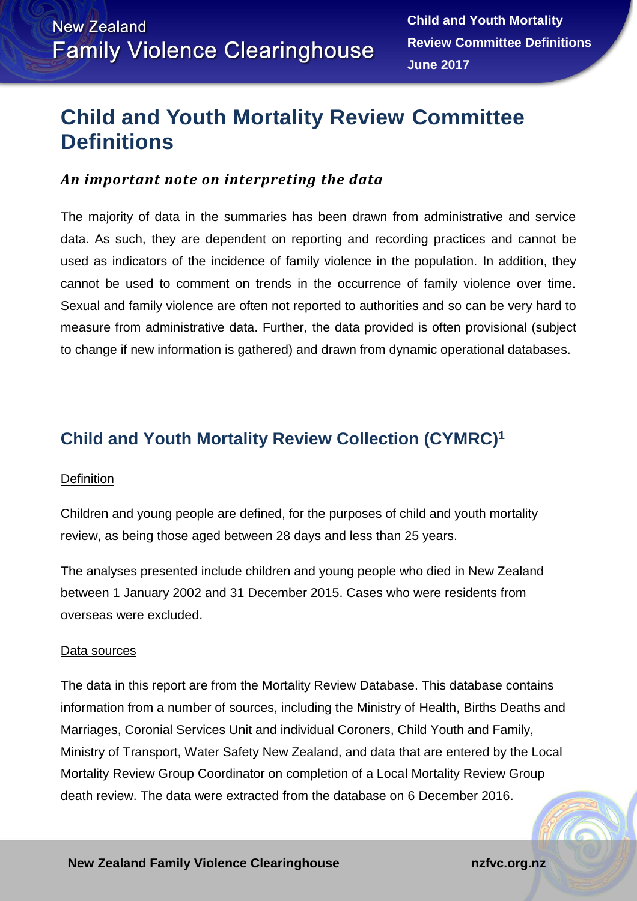# **Child and Youth Mortality Review Committee Definitions**

### *An important note on interpreting the data*

The majority of data in the summaries has been drawn from administrative and service data. As such, they are dependent on reporting and recording practices and cannot be used as indicators of the incidence of family violence in the population. In addition, they cannot be used to comment on trends in the occurrence of family violence over time. Sexual and family violence are often not reported to authorities and so can be very hard to measure from administrative data. Further, the data provided is often provisional (subject to change if new information is gathered) and drawn from dynamic operational databases.

## **Child and Youth Mortality Review Collection (CYMRC) 1**

#### **Definition**

Children and young people are defined, for the purposes of child and youth mortality review, as being those aged between 28 days and less than 25 years.

The analyses presented include children and young people who died in New Zealand between 1 January 2002 and 31 December 2015. Cases who were residents from overseas were excluded.

#### Data sources

The data in this report are from the Mortality Review Database. This database contains information from a number of sources, including the Ministry of Health, Births Deaths and Marriages, Coronial Services Unit and individual Coroners, Child Youth and Family, Ministry of Transport, Water Safety New Zealand, and data that are entered by the Local Mortality Review Group Coordinator on completion of a Local Mortality Review Group death review. The data were extracted from the database on 6 December 2016.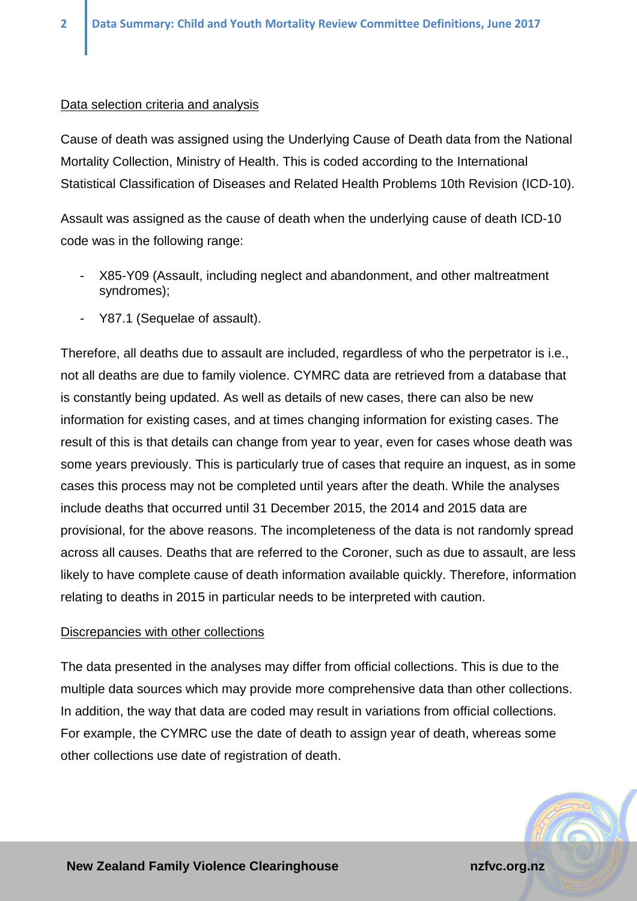#### Data selection criteria and analysis

Cause of death was assigned using the Underlying Cause of Death data from the National Mortality Collection, Ministry of Health. This is coded according to the International Statistical Classification of Diseases and Related Health Problems 10th Revision (ICD-10).

Assault was assigned as the cause of death when the underlying cause of death ICD-10 code was in the following range:

- X85-Y09 (Assault, including neglect and abandonment, and other maltreatment syndromes);
- Y87.1 (Sequelae of assault).

Therefore, all deaths due to assault are included, regardless of who the perpetrator is i.e., not all deaths are due to family violence. CYMRC data are retrieved from a database that is constantly being updated. As well as details of new cases, there can also be new information for existing cases, and at times changing information for existing cases. The result of this is that details can change from year to year, even for cases whose death was some years previously. This is particularly true of cases that require an inquest, as in some cases this process may not be completed until years after the death. While the analyses include deaths that occurred until 31 December 2015, the 2014 and 2015 data are provisional, for the above reasons. The incompleteness of the data is not randomly spread across all causes. Deaths that are referred to the Coroner, such as due to assault, are less likely to have complete cause of death information available quickly. Therefore, information relating to deaths in 2015 in particular needs to be interpreted with caution.

#### Discrepancies with other collections

The data presented in the analyses may differ from official collections. This is due to the multiple data sources which may provide more comprehensive data than other collections. In addition, the way that data are coded may result in variations from official collections. For example, the CYMRC use the date of death to assign year of death, whereas some other collections use date of registration of death.